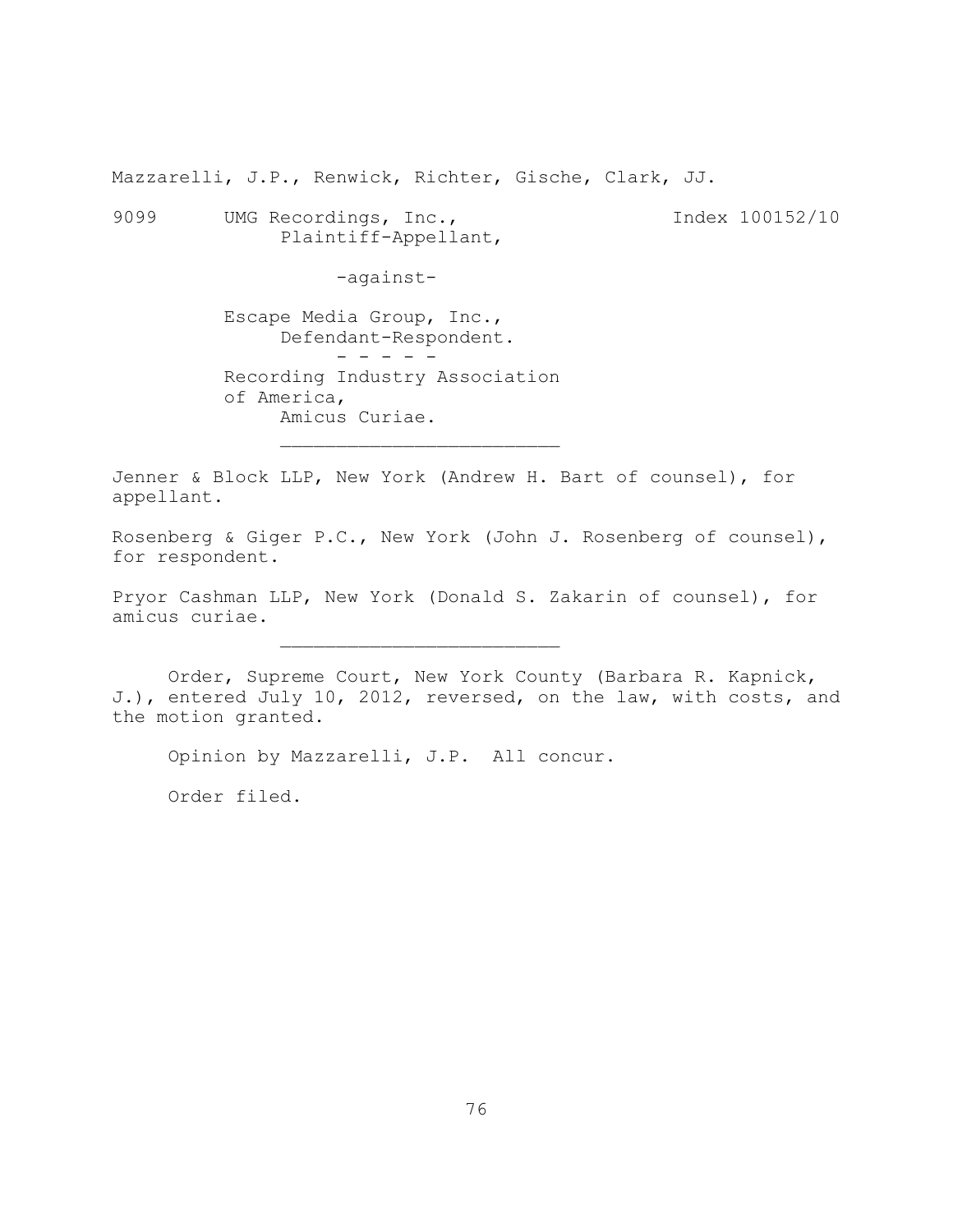Mazzarelli, J.P., Renwick, Richter, Gische, Clark, JJ.

9099 UMG Recordings, Inc., The UMG Recordings, Inc., Plaintiff-Appellant,

-against-

Escape Media Group, Inc., Defendant-Respondent.  $-$  -  $-$  -  $-$ Recording Industry Association of America, Amicus Curiae.

 $\mathcal{L}_\text{max}$ 

Jenner & Block LLP, New York (Andrew H. Bart of counsel), for appellant.

Rosenberg & Giger P.C., New York (John J. Rosenberg of counsel), for respondent.

Pryor Cashman LLP, New York (Donald S. Zakarin of counsel), for amicus curiae.

Order, Supreme Court, New York County (Barbara R. Kapnick, J.), entered July 10, 2012, reversed, on the law, with costs, and the motion granted.

Opinion by Mazzarelli, J.P. All concur.

Order filed.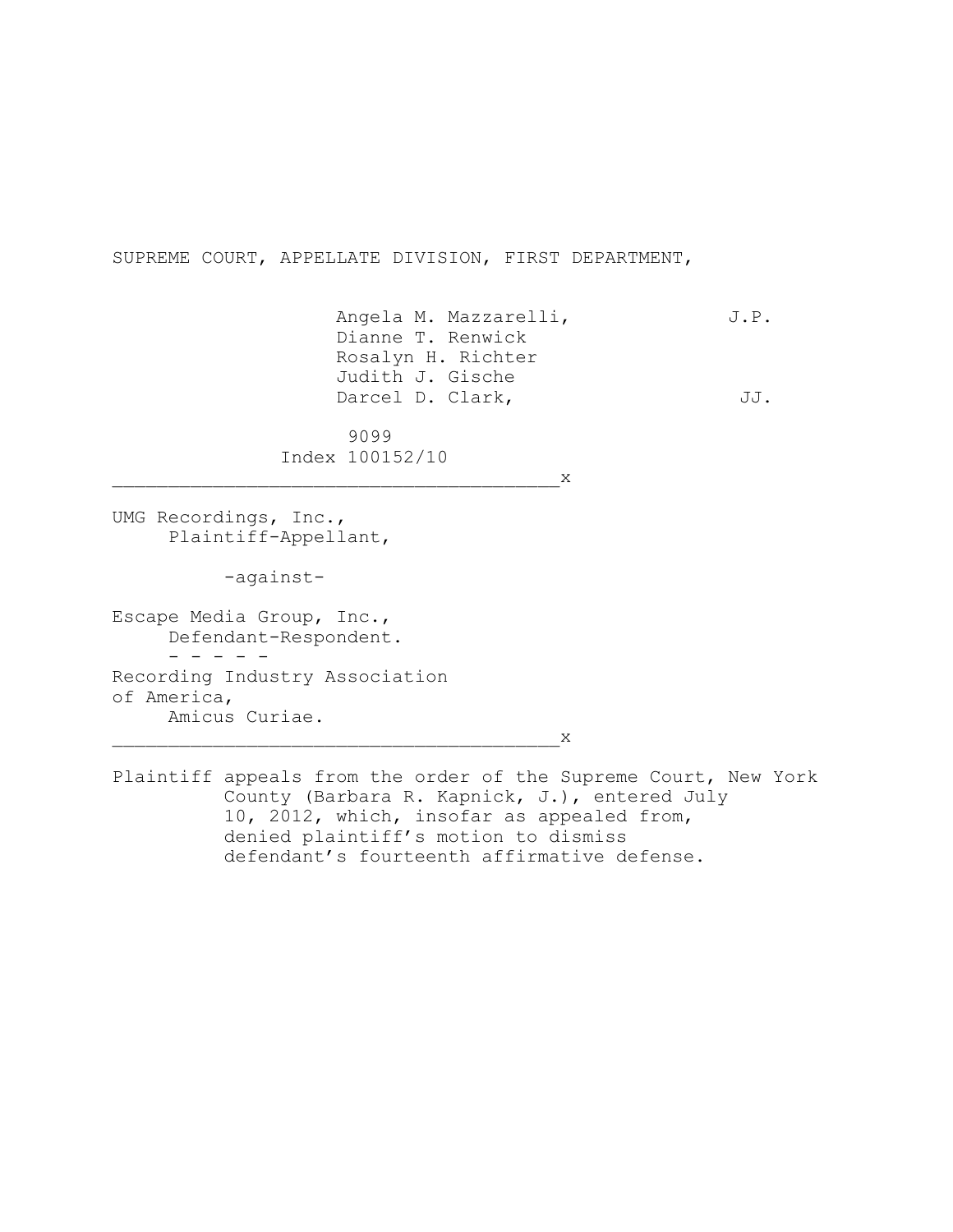SUPREME COURT, APPELLATE DIVISION, FIRST DEPARTMENT,

Angela M. Mazzarelli, J.P. Dianne T. Renwick Rosalyn H. Richter Judith J. Gische Darcel D. Clark, JJ.

 9099 Index 100152/10

\_\_\_\_\_\_\_\_\_\_\_\_\_\_\_\_\_\_\_\_\_\_\_\_\_\_\_\_\_\_\_\_\_\_\_\_\_\_\_\_x

UMG Recordings, Inc., Plaintiff-Appellant,

-against-

Escape Media Group, Inc., Defendant-Respondent.  $-$ Recording Industry Association of America, Amicus Curiae.

 $\mathbf x$ 

Plaintiff appeals from the order of the Supreme Court, New York County (Barbara R. Kapnick, J.), entered July 10, 2012, which, insofar as appealed from, denied plaintiff's motion to dismiss defendant's fourteenth affirmative defense.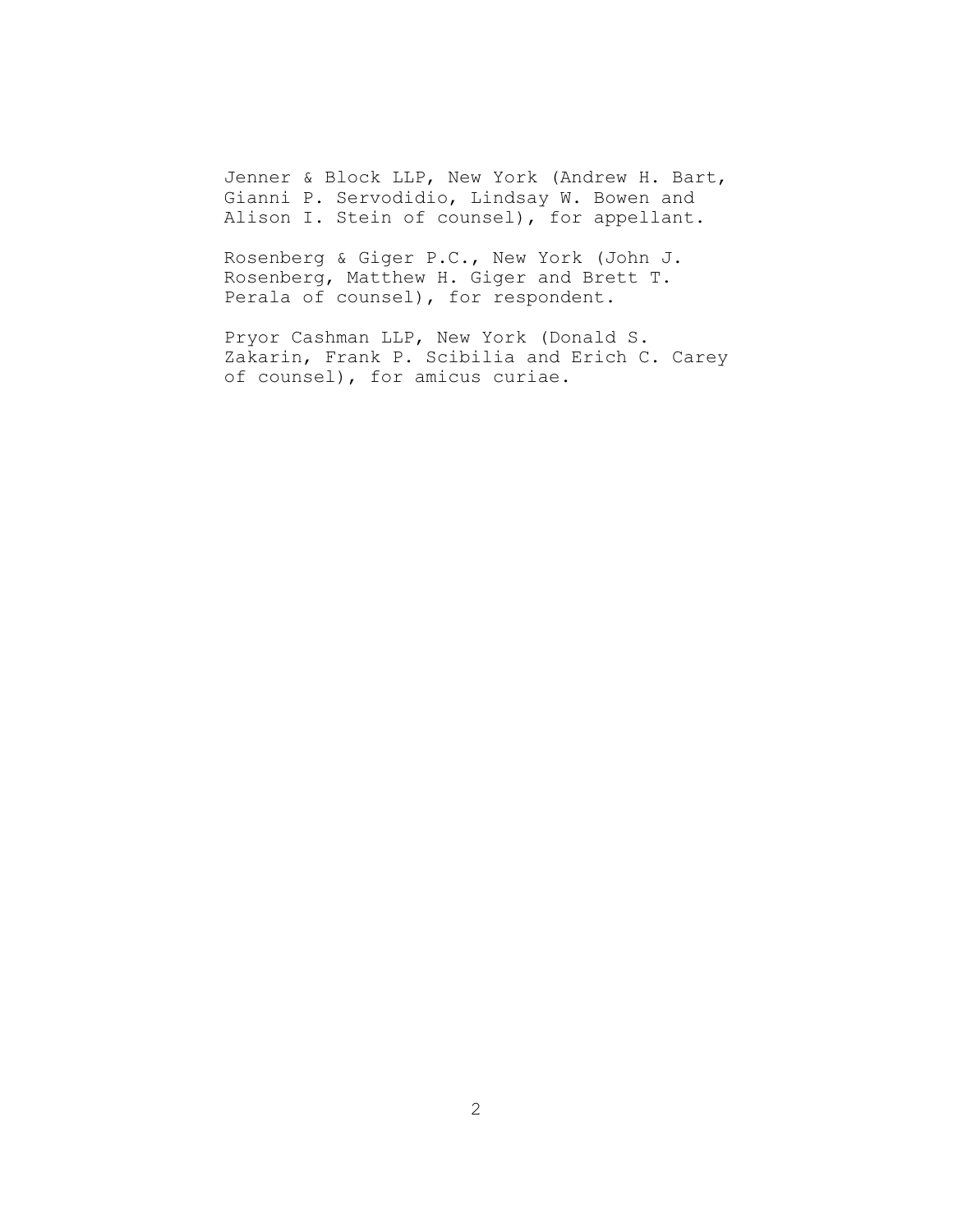Jenner & Block LLP, New York (Andrew H. Bart, Gianni P. Servodidio, Lindsay W. Bowen and Alison I. Stein of counsel), for appellant.

Rosenberg & Giger P.C., New York (John J. Rosenberg, Matthew H. Giger and Brett T. Perala of counsel), for respondent.

Pryor Cashman LLP, New York (Donald S. Zakarin, Frank P. Scibilia and Erich C. Carey of counsel), for amicus curiae.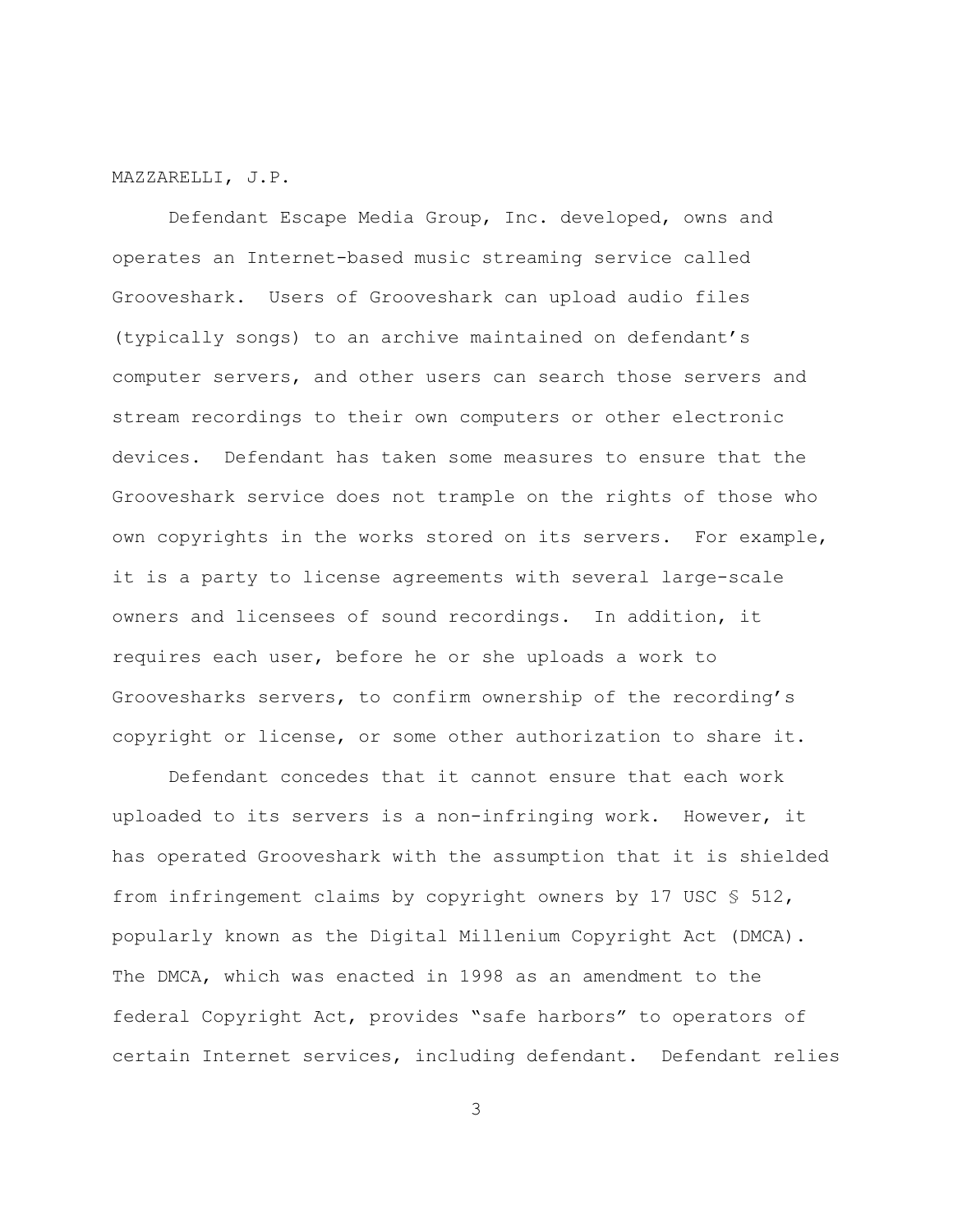MAZZARELLI, J.P.

Defendant Escape Media Group, Inc. developed, owns and operates an Internet-based music streaming service called Grooveshark. Users of Grooveshark can upload audio files (typically songs) to an archive maintained on defendant's computer servers, and other users can search those servers and stream recordings to their own computers or other electronic devices. Defendant has taken some measures to ensure that the Grooveshark service does not trample on the rights of those who own copyrights in the works stored on its servers. For example, it is a party to license agreements with several large-scale owners and licensees of sound recordings. In addition, it requires each user, before he or she uploads a work to Groovesharks servers, to confirm ownership of the recording's copyright or license, or some other authorization to share it.

Defendant concedes that it cannot ensure that each work uploaded to its servers is a non-infringing work. However, it has operated Grooveshark with the assumption that it is shielded from infringement claims by copyright owners by 17 USC  $\frac{1}{5}$  512, popularly known as the Digital Millenium Copyright Act (DMCA). The DMCA, which was enacted in 1998 as an amendment to the federal Copyright Act, provides "safe harbors" to operators of certain Internet services, including defendant. Defendant relies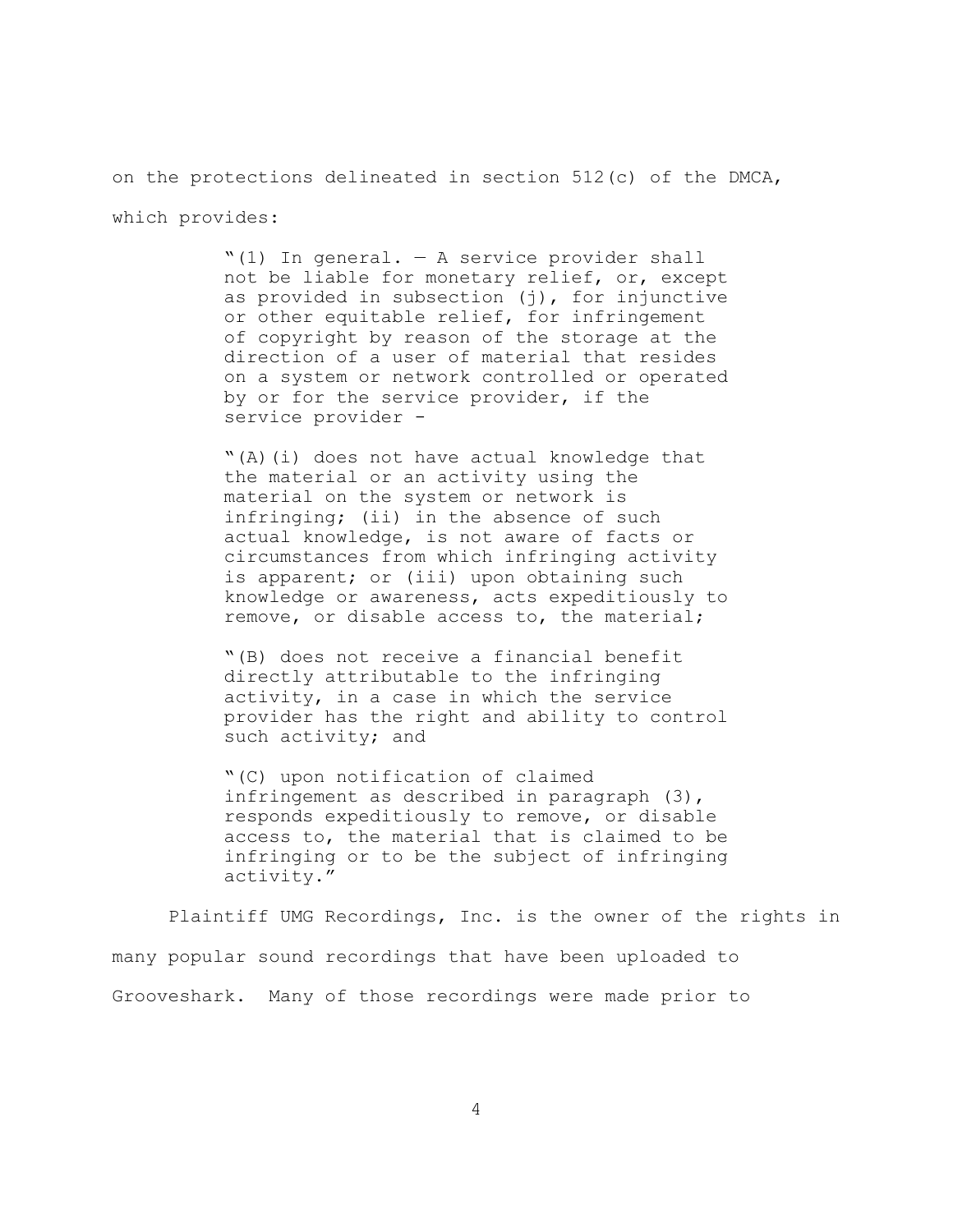on the protections delineated in section  $512(c)$  of the DMCA, which provides:

> "(1) In general.  $-$  A service provider shall not be liable for monetary relief, or, except as provided in subsection (j), for injunctive or other equitable relief, for infringement of copyright by reason of the storage at the direction of a user of material that resides on a system or network controlled or operated by or for the service provider, if the service provider -

> "(A)(i) does not have actual knowledge that the material or an activity using the material on the system or network is infringing; (ii) in the absence of such actual knowledge, is not aware of facts or circumstances from which infringing activity is apparent; or (iii) upon obtaining such knowledge or awareness, acts expeditiously to remove, or disable access to, the material;

> "(B) does not receive a financial benefit directly attributable to the infringing activity, in a case in which the service provider has the right and ability to control such activity; and

> "(C) upon notification of claimed infringement as described in paragraph (3), responds expeditiously to remove, or disable access to, the material that is claimed to be infringing or to be the subject of infringing activity."

Plaintiff UMG Recordings, Inc. is the owner of the rights in many popular sound recordings that have been uploaded to Grooveshark. Many of those recordings were made prior to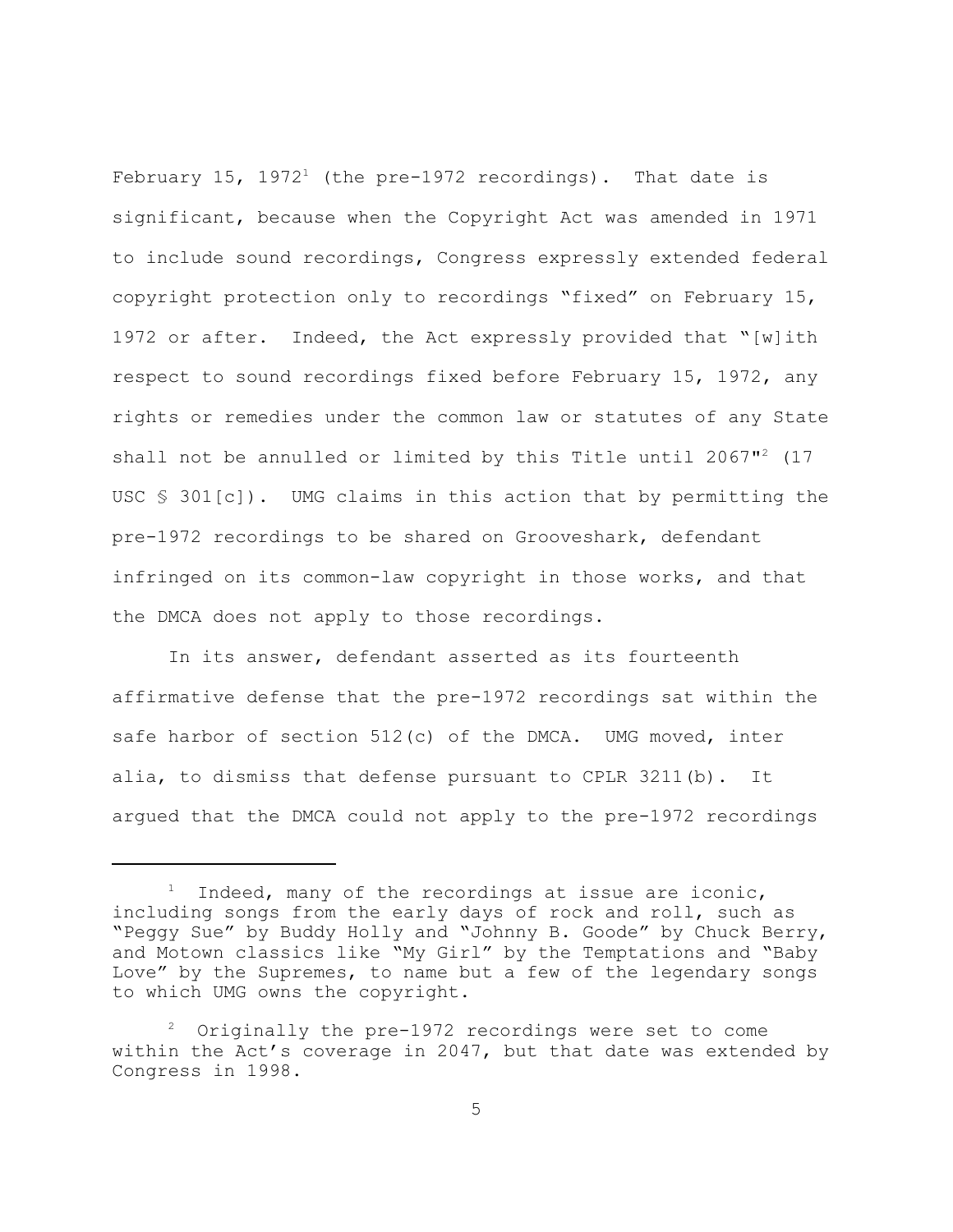February 15, 1972<sup>1</sup> (the pre-1972 recordings). That date is significant, because when the Copyright Act was amended in 1971 to include sound recordings, Congress expressly extended federal copyright protection only to recordings "fixed" on February 15, 1972 or after. Indeed, the Act expressly provided that "[w]ith respect to sound recordings fixed before February 15, 1972, any rights or remedies under the common law or statutes of any State shall not be annulled or limited by this Title until  $2067''^2$  (17 USC  $\frac{1}{2}$  301[c]). UMG claims in this action that by permitting the pre-1972 recordings to be shared on Grooveshark, defendant infringed on its common-law copyright in those works, and that the DMCA does not apply to those recordings.

In its answer, defendant asserted as its fourteenth affirmative defense that the pre-1972 recordings sat within the safe harbor of section 512(c) of the DMCA. UMG moved, inter alia, to dismiss that defense pursuant to CPLR 3211(b). It argued that the DMCA could not apply to the pre-1972 recordings

Indeed, many of the recordings at issue are iconic, including songs from the early days of rock and roll, such as "Peggy Sue" by Buddy Holly and "Johnny B. Goode" by Chuck Berry, and Motown classics like "My Girl" by the Temptations and "Baby Love" by the Supremes, to name but a few of the legendary songs to which UMG owns the copyright.

 $2^2$  Originally the pre-1972 recordings were set to come within the Act's coverage in 2047, but that date was extended by Congress in 1998.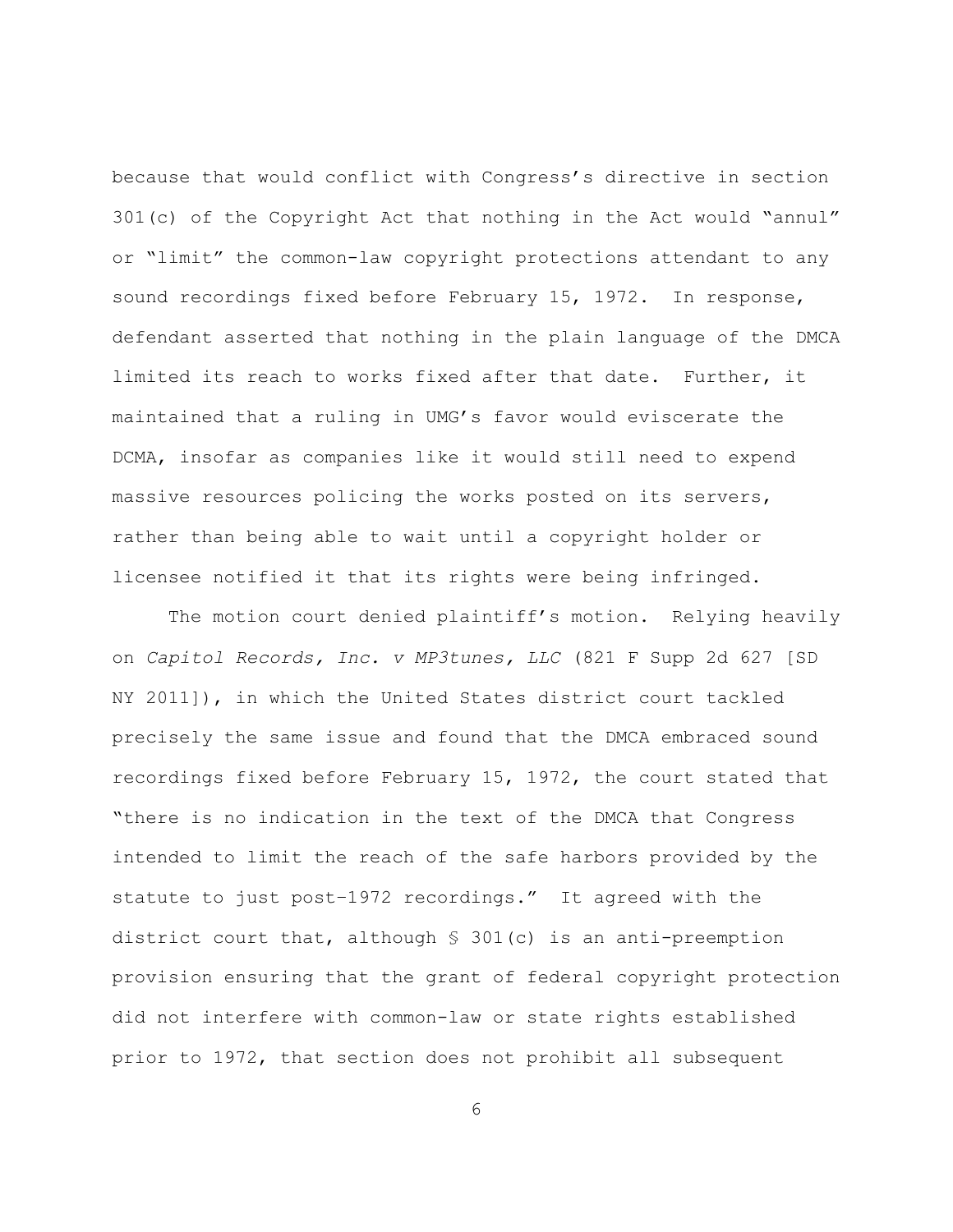because that would conflict with Congress's directive in section 301(c) of the Copyright Act that nothing in the Act would "annul" or "limit" the common-law copyright protections attendant to any sound recordings fixed before February 15, 1972. In response, defendant asserted that nothing in the plain language of the DMCA limited its reach to works fixed after that date. Further, it maintained that a ruling in UMG's favor would eviscerate the DCMA, insofar as companies like it would still need to expend massive resources policing the works posted on its servers, rather than being able to wait until a copyright holder or licensee notified it that its rights were being infringed.

The motion court denied plaintiff's motion. Relying heavily on *Capitol Records, Inc. v MP3tunes, LLC* (821 F Supp 2d 627 [SD NY 2011]), in which the United States district court tackled precisely the same issue and found that the DMCA embraced sound recordings fixed before February 15, 1972, the court stated that "there is no indication in the text of the DMCA that Congress intended to limit the reach of the safe harbors provided by the statute to just post–1972 recordings." It agreed with the district court that, although  $S$  301(c) is an anti-preemption provision ensuring that the grant of federal copyright protection did not interfere with common-law or state rights established prior to 1972, that section does not prohibit all subsequent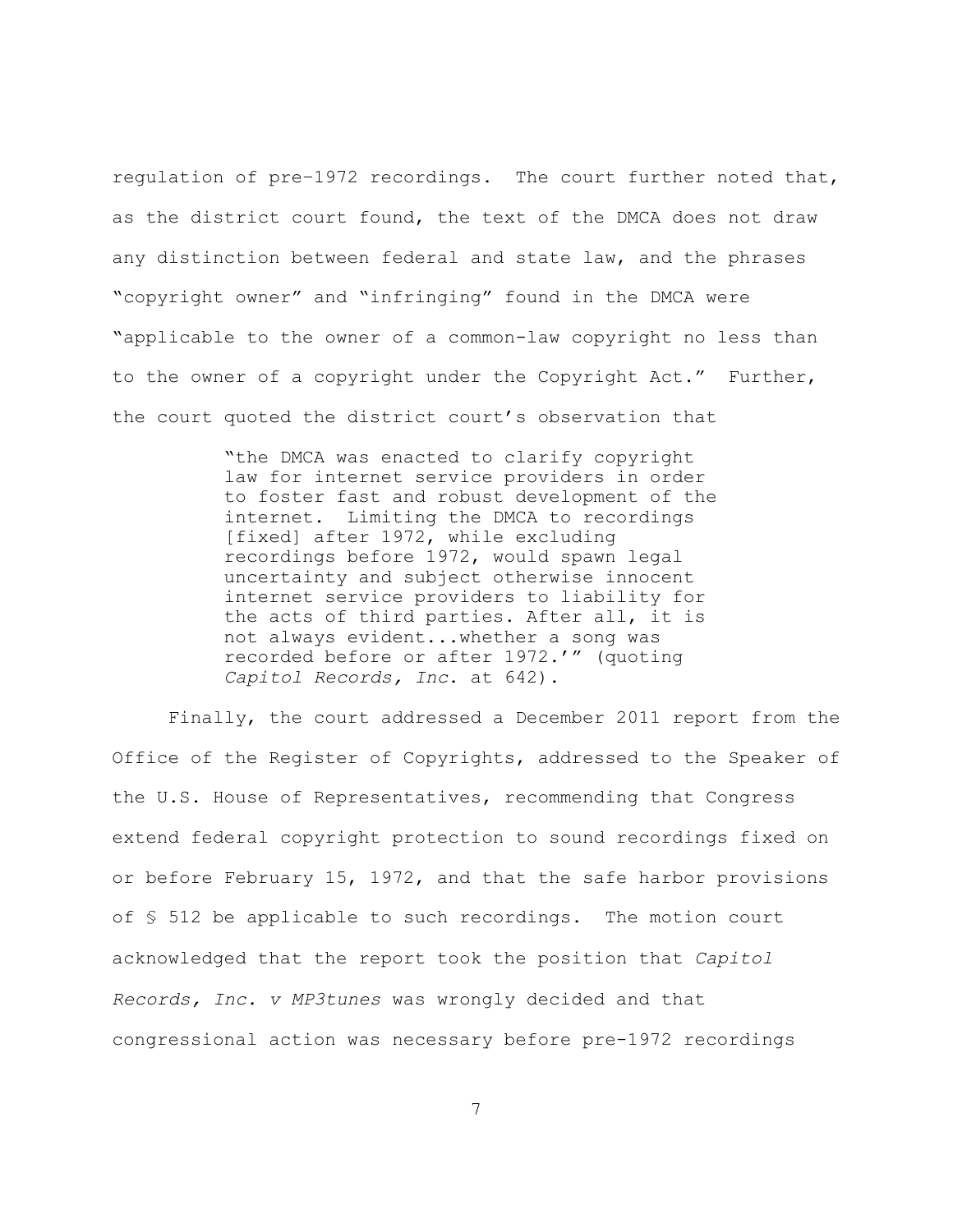regulation of pre–1972 recordings. The court further noted that, as the district court found, the text of the DMCA does not draw any distinction between federal and state law, and the phrases "copyright owner" and "infringing" found in the DMCA were "applicable to the owner of a common-law copyright no less than to the owner of a copyright under the Copyright Act." Further, the court quoted the district court's observation that

> "the DMCA was enacted to clarify copyright law for internet service providers in order to foster fast and robust development of the internet. Limiting the DMCA to recordings [fixed] after 1972, while excluding recordings before 1972, would spawn legal uncertainty and subject otherwise innocent internet service providers to liability for the acts of third parties. After all, it is not always evident...whether a song was recorded before or after 1972.'" (quoting *Capitol Records, Inc*. at 642).

Finally, the court addressed a December 2011 report from the Office of the Register of Copyrights, addressed to the Speaker of the U.S. House of Representatives, recommending that Congress extend federal copyright protection to sound recordings fixed on or before February 15, 1972, and that the safe harbor provisions of § 512 be applicable to such recordings. The motion court acknowledged that the report took the position that *Capitol Records, Inc. v MP3tunes* was wrongly decided and that congressional action was necessary before pre-1972 recordings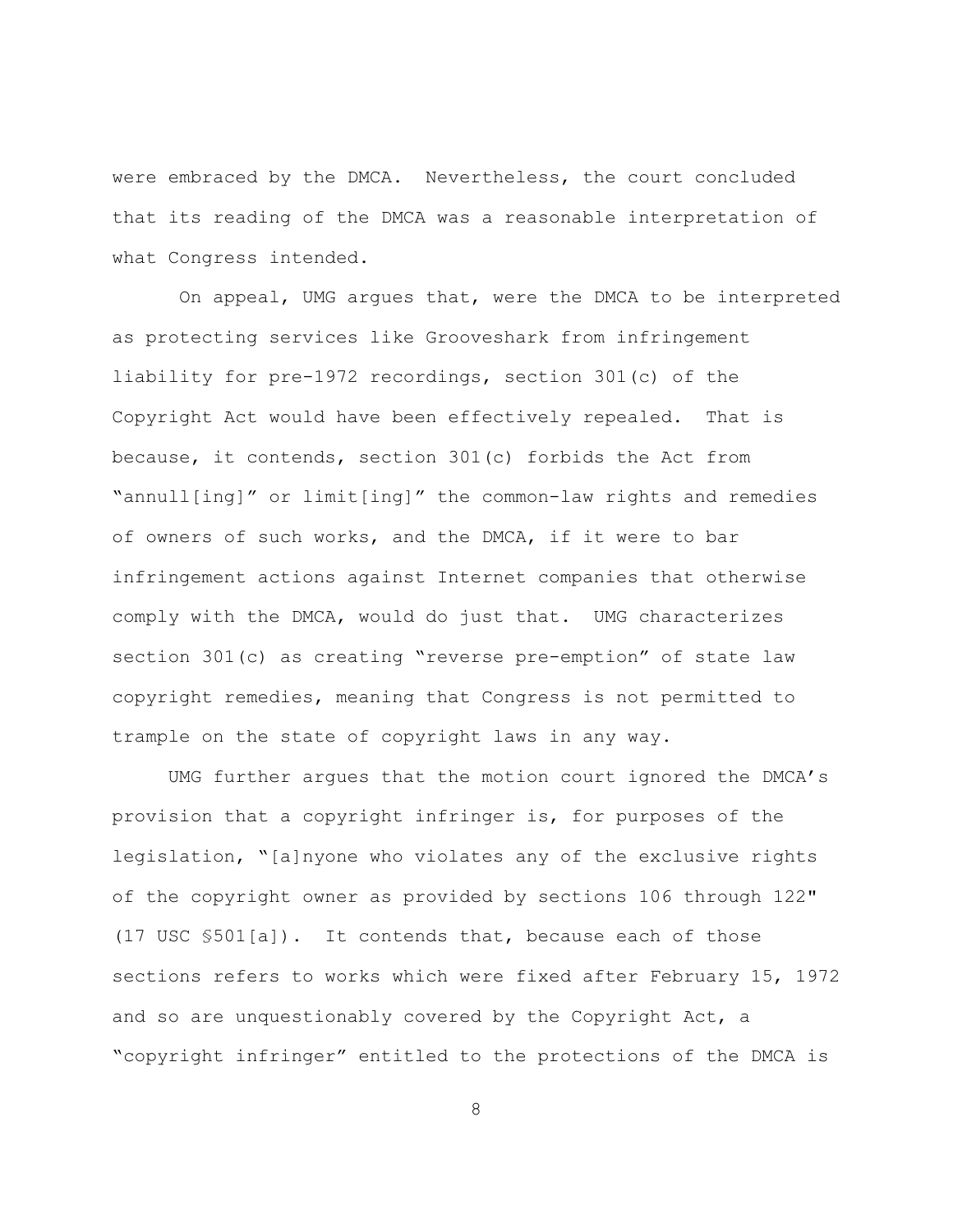were embraced by the DMCA. Nevertheless, the court concluded that its reading of the DMCA was a reasonable interpretation of what Congress intended.

 On appeal, UMG argues that, were the DMCA to be interpreted as protecting services like Grooveshark from infringement liability for pre-1972 recordings, section 301(c) of the Copyright Act would have been effectively repealed. That is because, it contends, section 301(c) forbids the Act from "annull[ing]" or limit[ing]" the common-law rights and remedies of owners of such works, and the DMCA, if it were to bar infringement actions against Internet companies that otherwise comply with the DMCA, would do just that. UMG characterizes section 301(c) as creating "reverse pre-emption" of state law copyright remedies, meaning that Congress is not permitted to trample on the state of copyright laws in any way.

UMG further argues that the motion court ignored the DMCA's provision that a copyright infringer is, for purposes of the legislation, "[a]nyone who violates any of the exclusive rights of the copyright owner as provided by sections 106 through 122" (17 USC §501[a]). It contends that, because each of those sections refers to works which were fixed after February 15, 1972 and so are unquestionably covered by the Copyright Act, a "copyright infringer" entitled to the protections of the DMCA is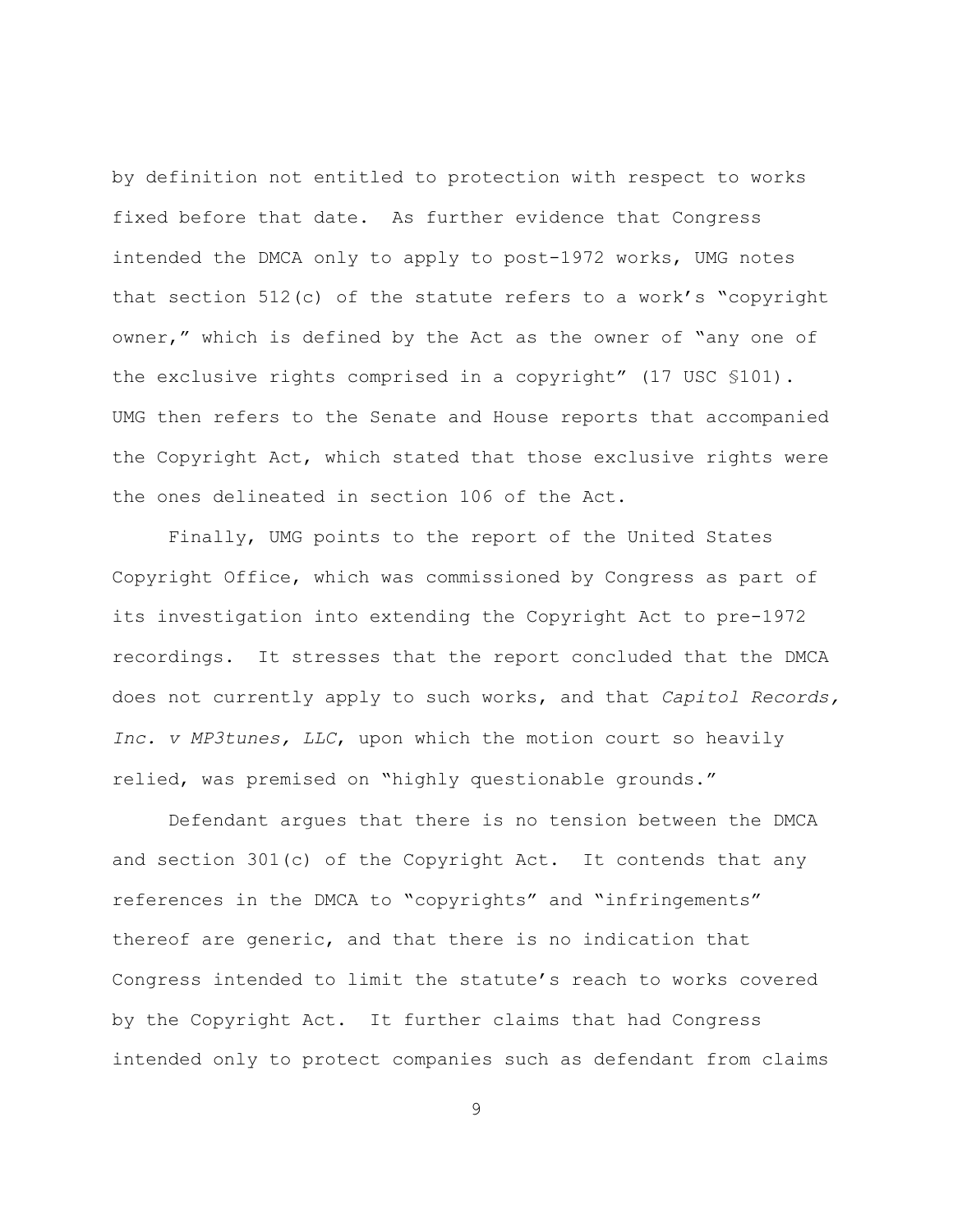by definition not entitled to protection with respect to works fixed before that date. As further evidence that Congress intended the DMCA only to apply to post-1972 works, UMG notes that section 512(c) of the statute refers to a work's "copyright owner," which is defined by the Act as the owner of "any one of the exclusive rights comprised in a copyright" (17 USC \$101). UMG then refers to the Senate and House reports that accompanied the Copyright Act, which stated that those exclusive rights were the ones delineated in section 106 of the Act.

Finally, UMG points to the report of the United States Copyright Office, which was commissioned by Congress as part of its investigation into extending the Copyright Act to pre-1972 recordings. It stresses that the report concluded that the DMCA does not currently apply to such works, and that *Capitol Records, Inc. v MP3tunes, LLC*, upon which the motion court so heavily relied, was premised on "highly questionable grounds."

Defendant argues that there is no tension between the DMCA and section 301(c) of the Copyright Act. It contends that any references in the DMCA to "copyrights" and "infringements" thereof are generic, and that there is no indication that Congress intended to limit the statute's reach to works covered by the Copyright Act. It further claims that had Congress intended only to protect companies such as defendant from claims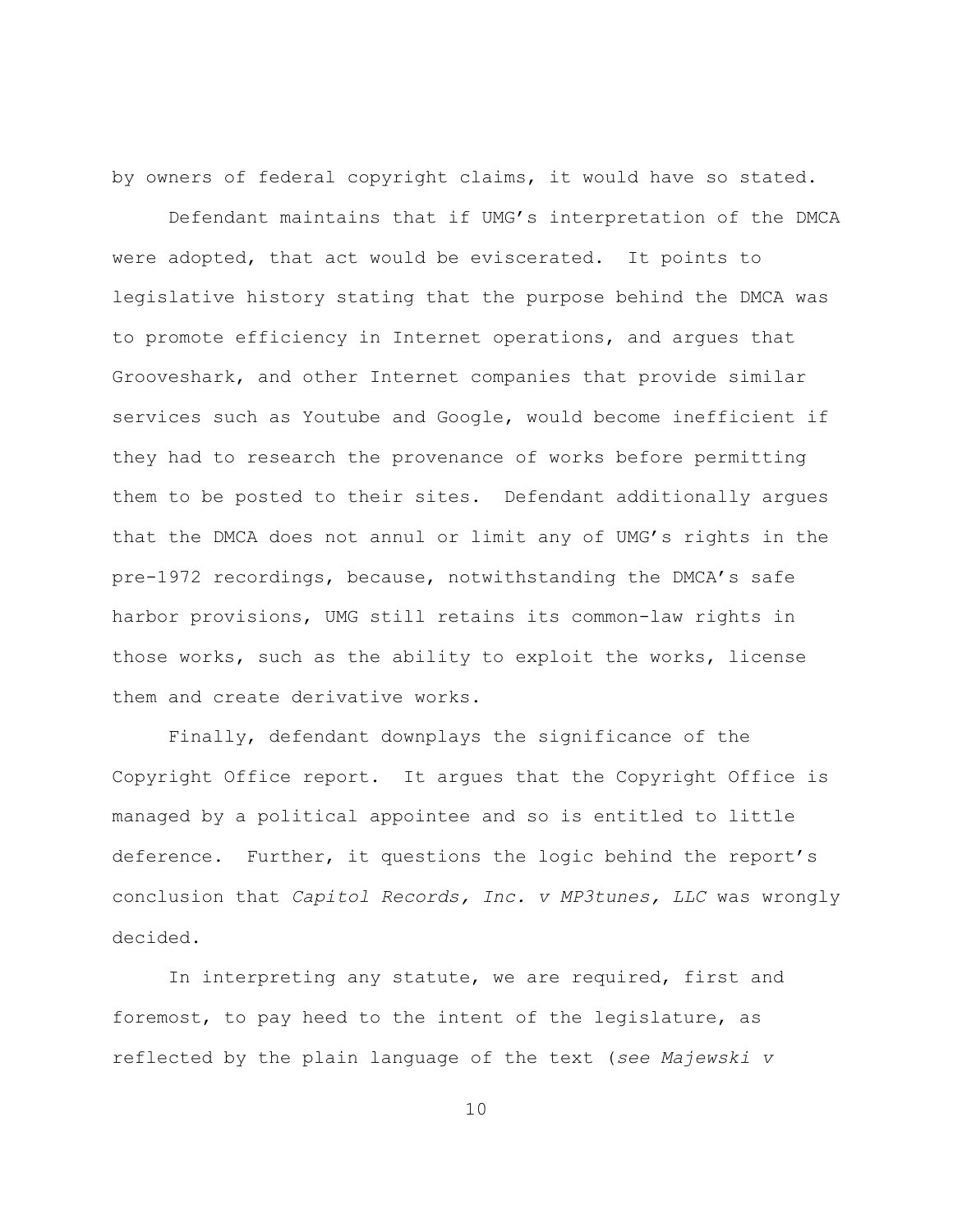by owners of federal copyright claims, it would have so stated.

Defendant maintains that if UMG's interpretation of the DMCA were adopted, that act would be eviscerated. It points to legislative history stating that the purpose behind the DMCA was to promote efficiency in Internet operations, and argues that Grooveshark, and other Internet companies that provide similar services such as Youtube and Google, would become inefficient if they had to research the provenance of works before permitting them to be posted to their sites. Defendant additionally argues that the DMCA does not annul or limit any of UMG's rights in the pre-1972 recordings, because, notwithstanding the DMCA's safe harbor provisions, UMG still retains its common-law rights in those works, such as the ability to exploit the works, license them and create derivative works.

Finally, defendant downplays the significance of the Copyright Office report. It argues that the Copyright Office is managed by a political appointee and so is entitled to little deference. Further, it questions the logic behind the report's conclusion that *Capitol Records, Inc. v MP3tunes, LLC* was wrongly decided.

In interpreting any statute, we are required, first and foremost, to pay heed to the intent of the legislature, as reflected by the plain language of the text (*see Majewski v*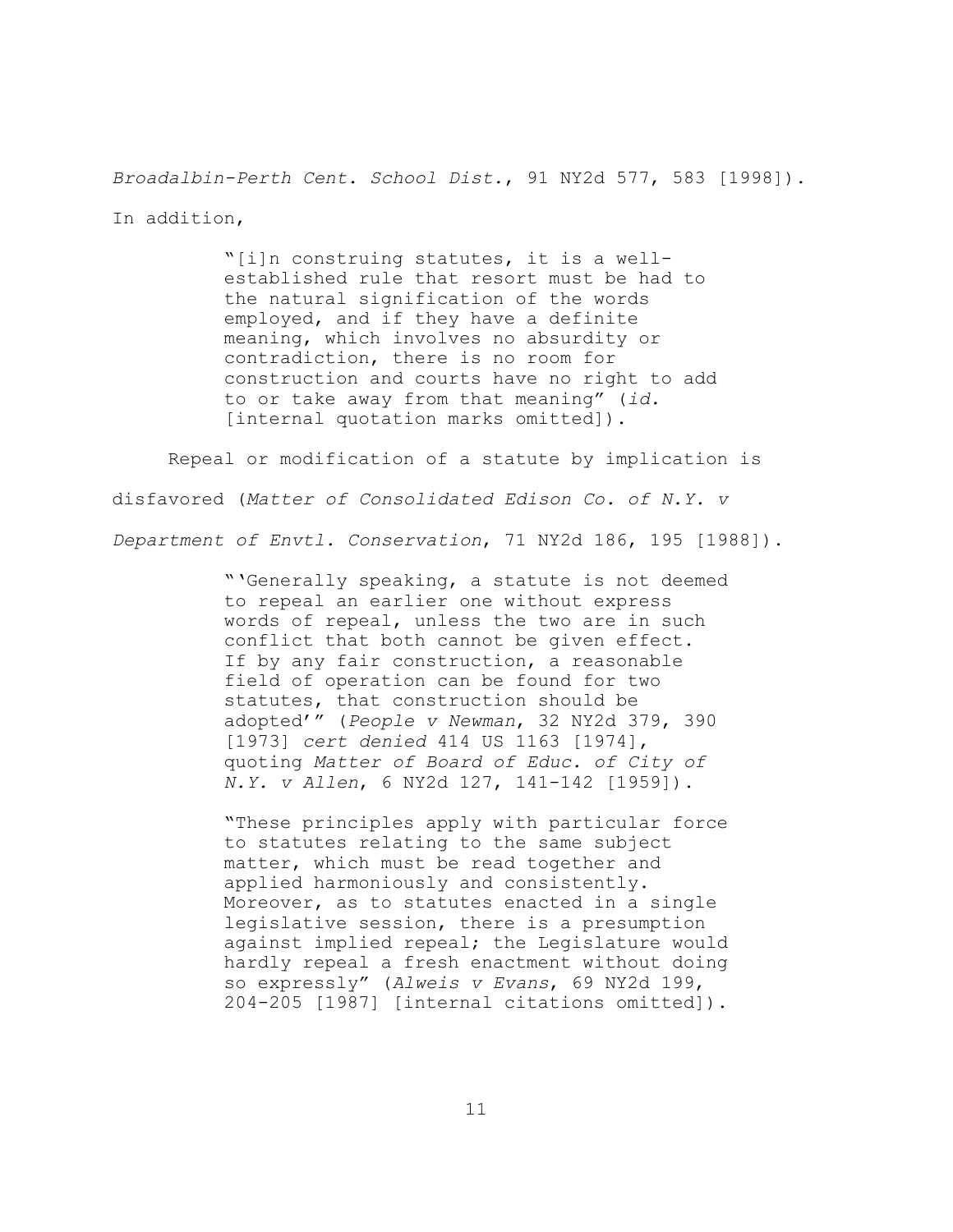*Broadalbin-Perth Cent. School Dist.*, 91 NY2d 577, 583 [1998]).

In addition,

"[i]n construing statutes, it is a wellestablished rule that resort must be had to the natural signification of the words employed, and if they have a definite meaning, which involves no absurdity or contradiction, there is no room for construction and courts have no right to add to or take away from that meaning" (*id.* [internal quotation marks omitted]).

Repeal or modification of a statute by implication is disfavored (*Matter of Consolidated Edison Co. of N.Y. v Department of Envtl. Conservation*, 71 NY2d 186, 195 [1988]).

> "'Generally speaking, a statute is not deemed to repeal an earlier one without express words of repeal, unless the two are in such conflict that both cannot be given effect. If by any fair construction, a reasonable field of operation can be found for two statutes, that construction should be adopted'" (*People v Newman*, 32 NY2d 379, 390 [1973] *cert denied* 414 US 1163 [1974], quoting *Matter of Board of Educ. of City of N.Y. v Allen*, 6 NY2d 127, 141-142 [1959]).

> "These principles apply with particular force to statutes relating to the same subject matter, which must be read together and applied harmoniously and consistently. Moreover, as to statutes enacted in a single legislative session, there is a presumption against implied repeal; the Legislature would hardly repeal a fresh enactment without doing so expressly" (*Alweis v Evans*, 69 NY2d 199, 204-205 [1987] [internal citations omitted]).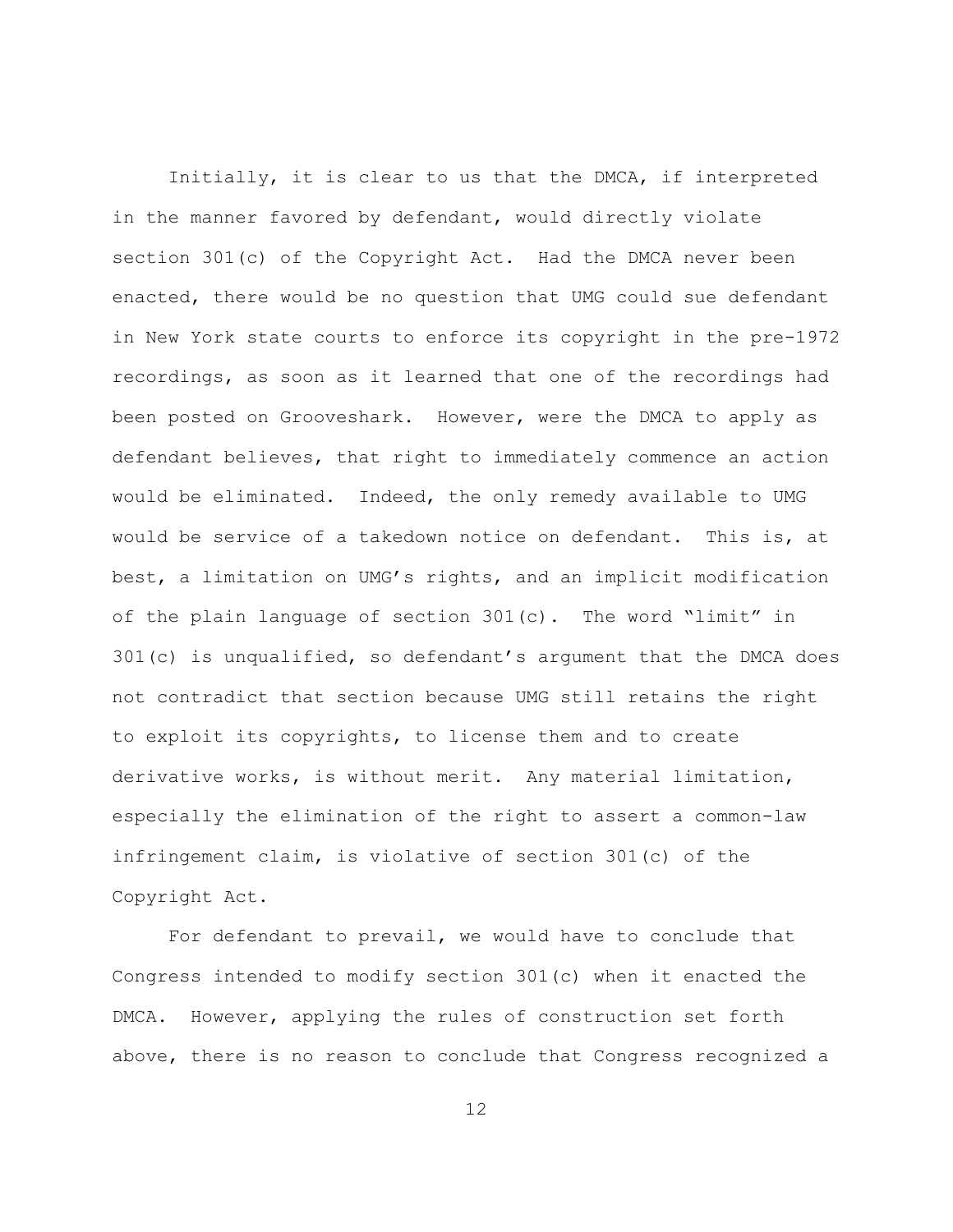Initially, it is clear to us that the DMCA, if interpreted in the manner favored by defendant, would directly violate section 301(c) of the Copyright Act. Had the DMCA never been enacted, there would be no question that UMG could sue defendant in New York state courts to enforce its copyright in the pre-1972 recordings, as soon as it learned that one of the recordings had been posted on Grooveshark. However, were the DMCA to apply as defendant believes, that right to immediately commence an action would be eliminated. Indeed, the only remedy available to UMG would be service of a takedown notice on defendant. This is, at best, a limitation on UMG's rights, and an implicit modification of the plain language of section 301(c). The word "limit" in 301(c) is unqualified, so defendant's argument that the DMCA does not contradict that section because UMG still retains the right to exploit its copyrights, to license them and to create derivative works, is without merit. Any material limitation, especially the elimination of the right to assert a common-law infringement claim, is violative of section 301(c) of the Copyright Act.

For defendant to prevail, we would have to conclude that Congress intended to modify section 301(c) when it enacted the DMCA. However, applying the rules of construction set forth above, there is no reason to conclude that Congress recognized a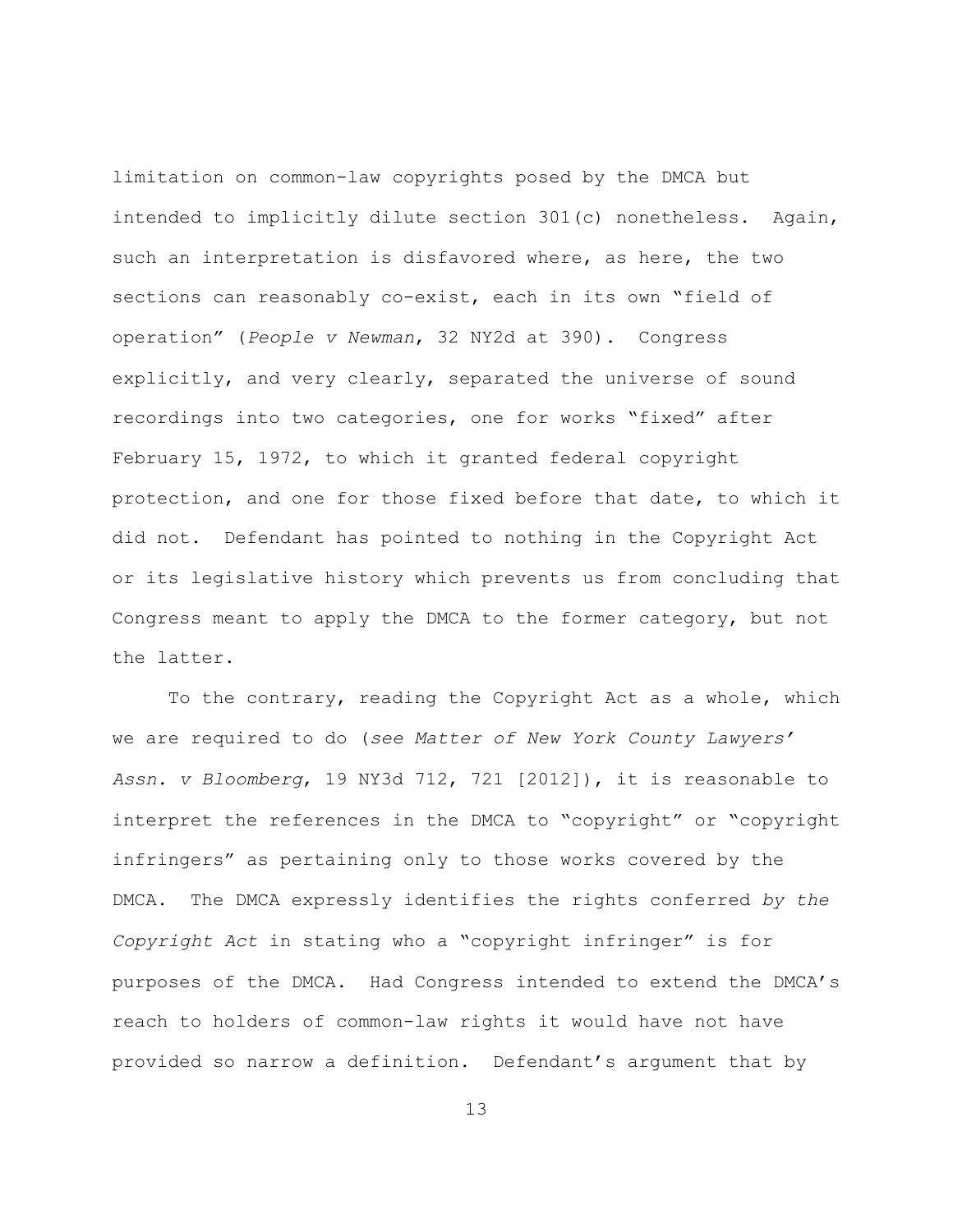limitation on common-law copyrights posed by the DMCA but intended to implicitly dilute section 301(c) nonetheless. Again, such an interpretation is disfavored where, as here, the two sections can reasonably co-exist, each in its own "field of operation" (*People v Newman*, 32 NY2d at 390). Congress explicitly, and very clearly, separated the universe of sound recordings into two categories, one for works "fixed" after February 15, 1972, to which it granted federal copyright protection, and one for those fixed before that date, to which it did not. Defendant has pointed to nothing in the Copyright Act or its legislative history which prevents us from concluding that Congress meant to apply the DMCA to the former category, but not the latter.

To the contrary, reading the Copyright Act as a whole, which we are required to do (*see Matter of New York County Lawyers' Assn. v Bloomberg*, 19 NY3d 712, 721 [2012]), it is reasonable to interpret the references in the DMCA to "copyright" or "copyright infringers" as pertaining only to those works covered by the DMCA. The DMCA expressly identifies the rights conferred *by the Copyright Act* in stating who a "copyright infringer" is for purposes of the DMCA. Had Congress intended to extend the DMCA's reach to holders of common-law rights it would have not have provided so narrow a definition. Defendant's argument that by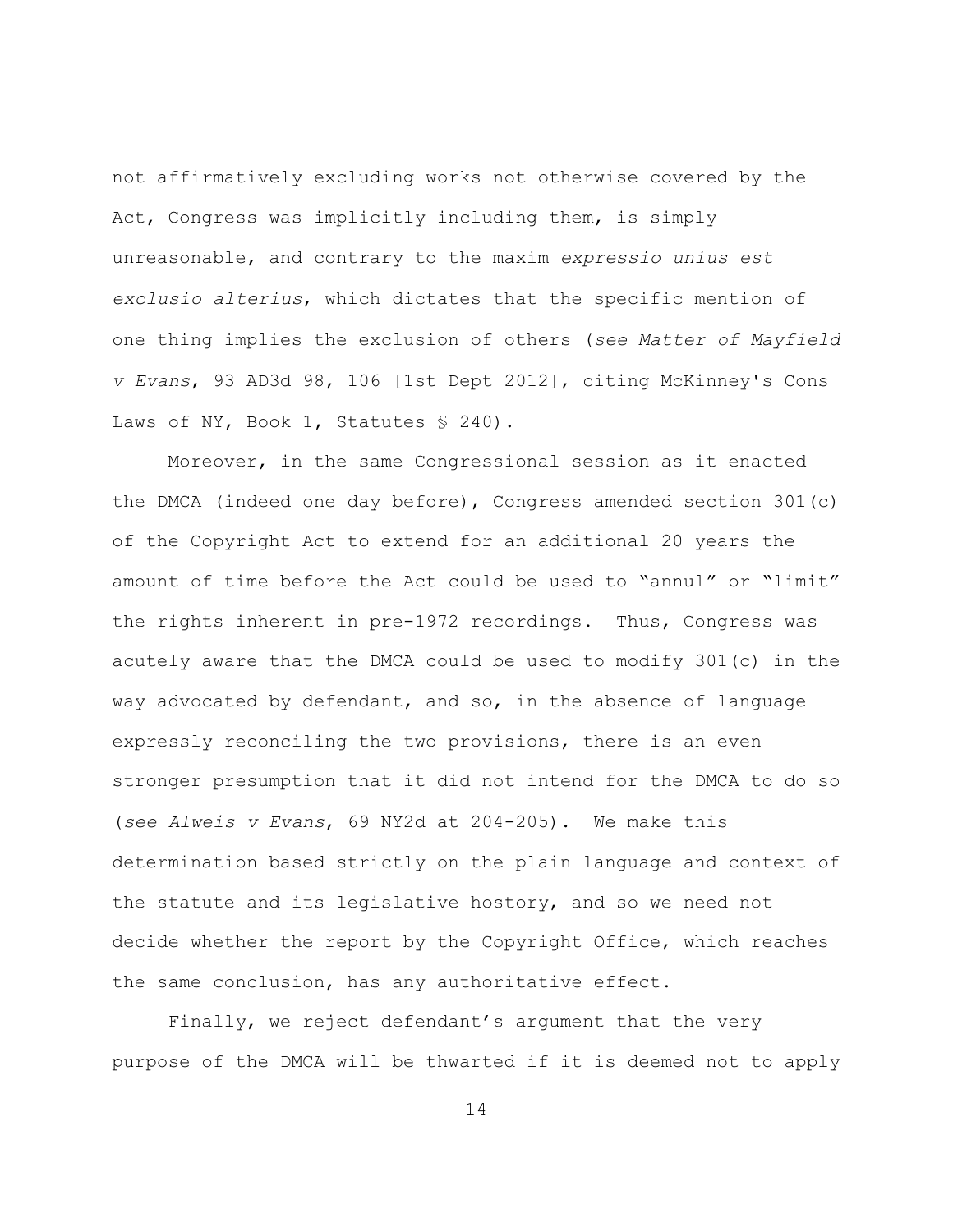not affirmatively excluding works not otherwise covered by the Act, Congress was implicitly including them, is simply unreasonable, and contrary to the maxim *expressio unius est exclusio alterius*, which dictates that the specific mention of one thing implies the exclusion of others (*see Matter of Mayfield v Evans*, 93 AD3d 98, 106 [1st Dept 2012], citing McKinney's Cons Laws of NY, Book 1, Statutes § 240).

Moreover, in the same Congressional session as it enacted the DMCA (indeed one day before), Congress amended section 301(c) of the Copyright Act to extend for an additional 20 years the amount of time before the Act could be used to "annul" or "limit" the rights inherent in pre-1972 recordings. Thus, Congress was acutely aware that the DMCA could be used to modify 301(c) in the way advocated by defendant, and so, in the absence of language expressly reconciling the two provisions, there is an even stronger presumption that it did not intend for the DMCA to do so (*see Alweis v Evans*, 69 NY2d at 204-205). We make this determination based strictly on the plain language and context of the statute and its legislative hostory, and so we need not decide whether the report by the Copyright Office, which reaches the same conclusion, has any authoritative effect.

Finally, we reject defendant's argument that the very purpose of the DMCA will be thwarted if it is deemed not to apply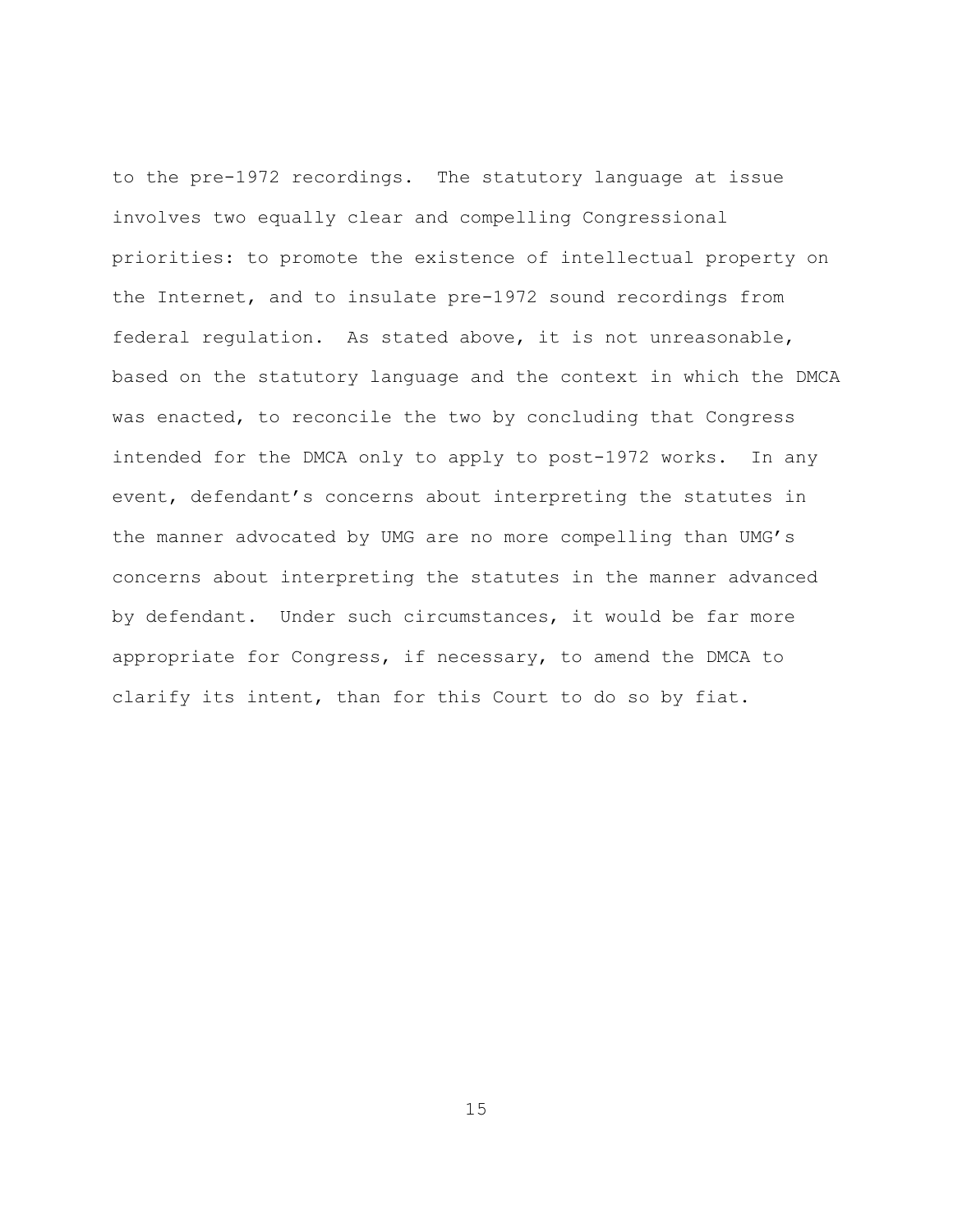to the pre-1972 recordings. The statutory language at issue involves two equally clear and compelling Congressional priorities: to promote the existence of intellectual property on the Internet, and to insulate pre-1972 sound recordings from federal regulation. As stated above, it is not unreasonable, based on the statutory language and the context in which the DMCA was enacted, to reconcile the two by concluding that Congress intended for the DMCA only to apply to post-1972 works. In any event, defendant's concerns about interpreting the statutes in the manner advocated by UMG are no more compelling than UMG's concerns about interpreting the statutes in the manner advanced by defendant. Under such circumstances, it would be far more appropriate for Congress, if necessary, to amend the DMCA to clarify its intent, than for this Court to do so by fiat.